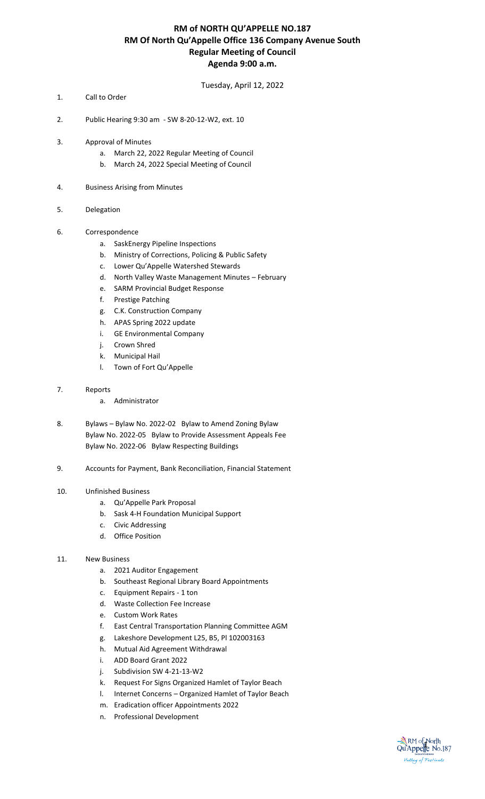### **RM of NORTH QU'APPELLE NO.187 RM Of North Qu'Appelle Office 136 Company Avenue South Regular Meeting of Council Agenda 9:00 a.m.**

Tuesday, April 12, 2022

- 1. Call to Order
- 2. Public Hearing 9:30 am SW 8-20-12-W2, ext. 10
- 3. Approval of Minutes
	- a. March 22, 2022 Regular Meeting of Council
	- b. March 24, 2022 Special Meeting of Council
- 4. Business Arising from Minutes
- 5. Delegation
- 6. Correspondence
	- a. SaskEnergy Pipeline Inspections
	- b. Ministry of Corrections, Policing & Public Safety
	- c. Lower Qu'Appelle Watershed Stewards
	- d. North Valley Waste Management Minutes February
	- e. SARM Provincial Budget Response
	- f. Prestige Patching
	- g. C.K. Construction Company
	- h. APAS Spring 2022 update
	- i. GE Environmental Company
	- j. Crown Shred
	- k. Municipal Hail
	- l. Town of Fort Qu'Appelle
- 7. Reports
	- a. Administrator
- 8. Bylaws Bylaw No. 2022-02 Bylaw to Amend Zoning Bylaw Bylaw No. 2022-05 Bylaw to Provide Assessment Appeals Fee Bylaw No. 2022-06 Bylaw Respecting Buildings
- 9. Accounts for Payment, Bank Reconciliation, Financial Statement

#### 10. Unfinished Business

- a. Qu'Appelle Park Proposal
- b. Sask 4-H Foundation Municipal Support
- c. Civic Addressing
- d. Office Position
- 11. New Business
	- a. 2021 Auditor Engagement
	- b. Southeast Regional Library Board Appointments
	- c. Equipment Repairs 1 ton
	- d. Waste Collection Fee Increase
	- e. Custom Work Rates
	- f. East Central Transportation Planning Committee AGM
	- g. Lakeshore Development L25, B5, Pl 102003163
	- h. Mutual Aid Agreement Withdrawal
	- i. ADD Board Grant 2022
	- j. Subdivision SW 4-21-13-W2
	- k. Request For Signs Organized Hamlet of Taylor Beach
	- l. Internet Concerns Organized Hamlet of Taylor Beach
	- m. Eradication officer Appointments 2022
	- n. Professional Development